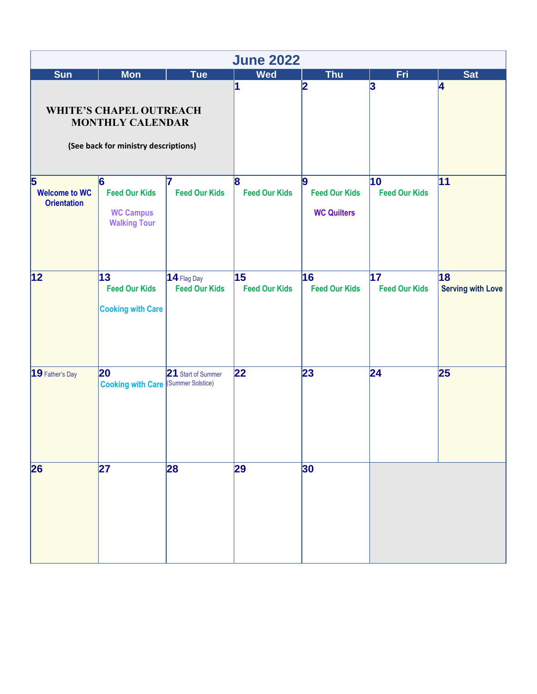| <b>June 2022</b>                                                                                  |                                                                                   |                                       |                                  |                                                        |                            |                                |
|---------------------------------------------------------------------------------------------------|-----------------------------------------------------------------------------------|---------------------------------------|----------------------------------|--------------------------------------------------------|----------------------------|--------------------------------|
| <b>Sun</b>                                                                                        | <b>Mon</b>                                                                        | Tue                                   | <b>Wed</b>                       | <b>Thu</b>                                             | Fri                        | <b>Sat</b>                     |
| <b>WHITE'S CHAPEL OUTREACH</b><br><b>MONTHLY CALENDAR</b><br>(See back for ministry descriptions) |                                                                                   |                                       | 1                                | $\overline{\mathbf{2}}$                                | 3                          | 4                              |
| $\overline{\mathbf{5}}$<br><b>Welcome to WC</b><br><b>Orientation</b>                             | $\overline{6}$<br><b>Feed Our Kids</b><br><b>WC Campus</b><br><b>Walking Tour</b> | <b>Feed Our Kids</b>                  | $\bf{8}$<br><b>Feed Our Kids</b> | <b>g</b><br><b>Feed Our Kids</b><br><b>WC Quilters</b> | 10<br><b>Feed Our Kids</b> | 11                             |
| 12                                                                                                | 13 <br><b>Feed Our Kids</b><br><b>Cooking with Care</b>                           | $14$ Flag Day<br><b>Feed Our Kids</b> | 15<br><b>Feed Our Kids</b>       | 16<br><b>Feed Our Kids</b>                             | 17<br><b>Feed Our Kids</b> | 18<br><b>Serving with Love</b> |
| 19 Father's Day                                                                                   | 20<br><b>Cooking with Care (Summer Solstice)</b>                                  | 21 Start of Summer                    | 22                               | 23                                                     | 24                         | 25                             |
| $\overline{26}$                                                                                   | 27                                                                                | 28                                    | 29                               | 30                                                     |                            |                                |